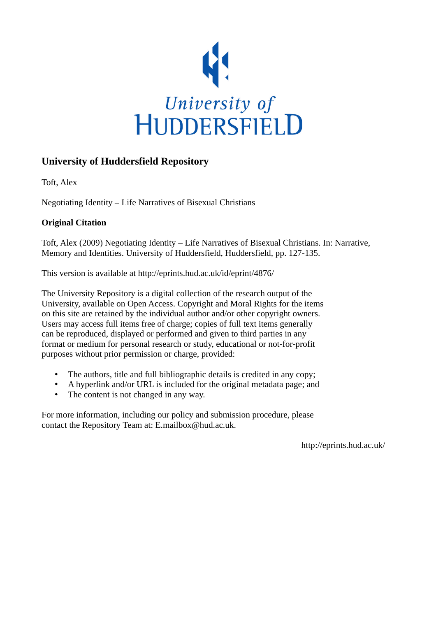

# **University of Huddersfield Repository**

Toft, Alex

Negotiating Identity – Life Narratives of Bisexual Christians

## **Original Citation**

Toft, Alex (2009) Negotiating Identity – Life Narratives of Bisexual Christians. In: Narrative, Memory and Identities. University of Huddersfield, Huddersfield, pp. 127-135.

This version is available at http://eprints.hud.ac.uk/id/eprint/4876/

The University Repository is a digital collection of the research output of the University, available on Open Access. Copyright and Moral Rights for the items on this site are retained by the individual author and/or other copyright owners. Users may access full items free of charge; copies of full text items generally can be reproduced, displayed or performed and given to third parties in any format or medium for personal research or study, educational or not-for-profit purposes without prior permission or charge, provided:

- The authors, title and full bibliographic details is credited in any copy;
- A hyperlink and/or URL is included for the original metadata page; and
- The content is not changed in any way.

For more information, including our policy and submission procedure, please contact the Repository Team at: E.mailbox@hud.ac.uk.

http://eprints.hud.ac.uk/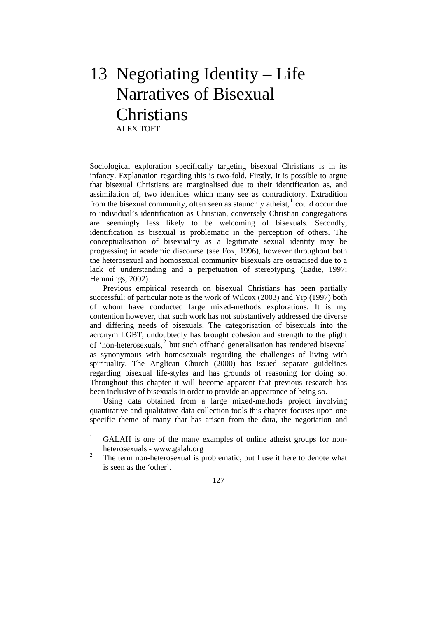# 13 Negotiating Identity – Life Narratives of Bisexual Christians ALEX TOFT

Sociological exploration specifically targeting bisexual Christians is in its infancy. Explanation regarding this is two-fold. Firstly, it is possible to argue that bisexual Christians are marginalised due to their identification as, and assimilation of, two identities which many see as contradictory. Extradition from the bisexual community, often seen as staunchly atheist, $\frac{1}{1}$  $\frac{1}{1}$  $\frac{1}{1}$  could occur due to individual's identification as Christian, conversely Christian congregations are seemingly less likely to be welcoming of bisexuals. Secondly, identification as bisexual is problematic in the perception of others. The conceptualisation of bisexuality as a legitimate sexual identity may be progressing in academic discourse (see Fox, 1996), however throughout both the heterosexual and homosexual community bisexuals are ostracised due to a lack of understanding and a perpetuation of stereotyping (Eadie, 1997; Hemmings, 2002).

 Previous empirical research on bisexual Christians has been partially successful; of particular note is the work of Wilcox (2003) and Yip (1997) both of whom have conducted large mixed-methods explorations. It is my contention however, that such work has not substantively addressed the diverse and differing needs of bisexuals. The categorisation of bisexuals into the acronym LGBT, undoubtedly has brought cohesion and strength to the plight of 'non-heterosexuals,<sup>[2](#page-1-1)</sup> but such offhand generalisation has rendered bisexual as synonymous with homosexuals regarding the challenges of living with spirituality. The Anglican Church (2000) has issued separate guidelines regarding bisexual life-styles and has grounds of reasoning for doing so. Throughout this chapter it will become apparent that previous research has been inclusive of bisexuals in order to provide an appearance of being so.

 Using data obtained from a large mixed-methods project involving quantitative and qualitative data collection tools this chapter focuses upon one specific theme of many that has arisen from the data, the negotiation and

127

<span id="page-1-0"></span> $\frac{1}{1}$  GALAH is one of the many examples of online atheist groups for nonheterosexuals - www.galah.org

<span id="page-1-1"></span><sup>2</sup> The term non-heterosexual is problematic, but I use it here to denote what is seen as the 'other'.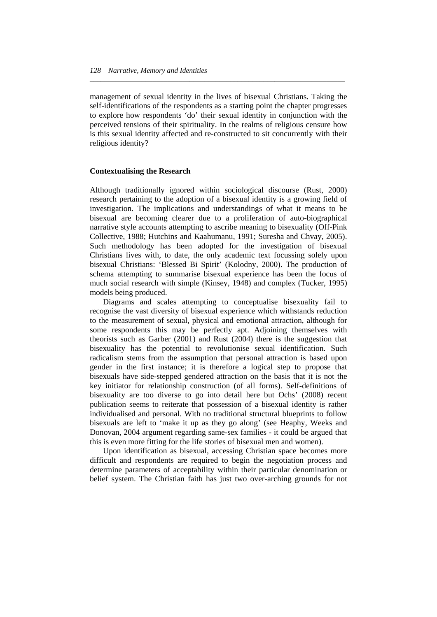management of sexual identity in the lives of bisexual Christians. Taking the self-identifications of the respondents as a starting point the chapter progresses to explore how respondents 'do' their sexual identity in conjunction with the perceived tensions of their spirituality. In the realms of religious censure how is this sexual identity affected and re-constructed to sit concurrently with their religious identity?

*\_\_\_\_\_\_\_\_\_\_\_\_\_\_\_\_\_\_\_\_\_\_\_\_\_\_\_\_\_\_\_\_\_\_\_\_\_\_\_\_\_\_\_\_\_\_\_\_\_\_\_\_\_\_\_\_\_\_\_\_\_\_\_\_\_\_\_\_\_* 

### **Contextualising the Research**

Although traditionally ignored within sociological discourse (Rust, 2000) research pertaining to the adoption of a bisexual identity is a growing field of investigation. The implications and understandings of what it means to be bisexual are becoming clearer due to a proliferation of auto-biographical narrative style accounts attempting to ascribe meaning to bisexuality (Off-Pink Collective, 1988; Hutchins and Kaahumanu, 1991; Suresha and Chvay, 2005). Such methodology has been adopted for the investigation of bisexual Christians lives with, to date, the only academic text focussing solely upon bisexual Christians: 'Blessed Bi Spirit' (Kolodny, 2000). The production of schema attempting to summarise bisexual experience has been the focus of much social research with simple (Kinsey, 1948) and complex (Tucker, 1995) models being produced.

 Diagrams and scales attempting to conceptualise bisexuality fail to recognise the vast diversity of bisexual experience which withstands reduction to the measurement of sexual, physical and emotional attraction, although for some respondents this may be perfectly apt. Adjoining themselves with theorists such as Garber (2001) and Rust (2004) there is the suggestion that bisexuality has the potential to revolutionise sexual identification. Such radicalism stems from the assumption that personal attraction is based upon gender in the first instance; it is therefore a logical step to propose that bisexuals have side-stepped gendered attraction on the basis that it is not the key initiator for relationship construction (of all forms). Self-definitions of bisexuality are too diverse to go into detail here but Ochs' (2008) recent publication seems to reiterate that possession of a bisexual identity is rather individualised and personal. With no traditional structural blueprints to follow bisexuals are left to 'make it up as they go along' (see Heaphy, Weeks and Donovan, 2004 argument regarding same-sex families - it could be argued that this is even more fitting for the life stories of bisexual men and women).

 Upon identification as bisexual, accessing Christian space becomes more difficult and respondents are required to begin the negotiation process and determine parameters of acceptability within their particular denomination or belief system. The Christian faith has just two over-arching grounds for not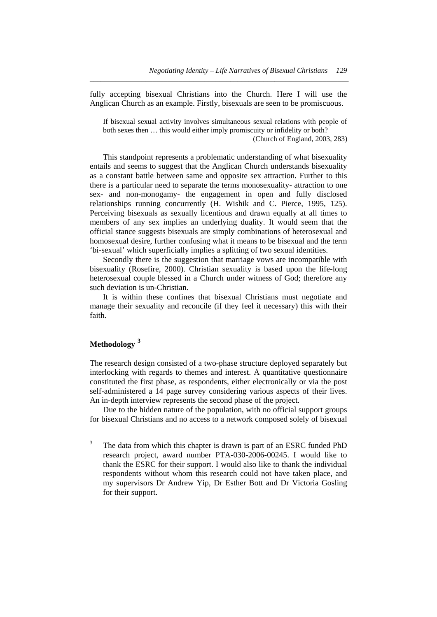fully accepting bisexual Christians into the Church. Here I will use the Anglican Church as an example. Firstly, bisexuals are seen to be promiscuous.

*\_\_\_\_\_\_\_\_\_\_\_\_\_\_\_\_\_\_\_\_\_\_\_\_\_\_\_\_\_\_\_\_\_\_\_\_\_\_\_\_\_\_\_\_\_\_\_\_\_\_\_\_\_\_\_\_\_\_\_\_\_\_\_\_\_\_\_\_\_\_* 

If bisexual sexual activity involves simultaneous sexual relations with people of both sexes then … this would either imply promiscuity or infidelity or both?

(Church of England, 2003, 283)

 This standpoint represents a problematic understanding of what bisexuality entails and seems to suggest that the Anglican Church understands bisexuality as a constant battle between same and opposite sex attraction. Further to this there is a particular need to separate the terms monosexuality- attraction to one sex- and non-monogamy- the engagement in open and fully disclosed relationships running concurrently (H. Wishik and C. Pierce, 1995, 125). Perceiving bisexuals as sexually licentious and drawn equally at all times to members of any sex implies an underlying duality. It would seem that the official stance suggests bisexuals are simply combinations of heterosexual and homosexual desire, further confusing what it means to be bisexual and the term 'bi-sexual' which superficially implies a splitting of two sexual identities.

 Secondly there is the suggestion that marriage vows are incompatible with bisexuality (Rosefire, 2000). Christian sexuality is based upon the life-long heterosexual couple blessed in a Church under witness of God; therefore any such deviation is un-Christian.

 It is within these confines that bisexual Christians must negotiate and manage their sexuality and reconcile (if they feel it necessary) this with their faith.

## **Methodology [3](#page-3-0)**

The research design consisted of a two-phase structure deployed separately but interlocking with regards to themes and interest. A quantitative questionnaire constituted the first phase, as respondents, either electronically or via the post self-administered a 14 page survey considering various aspects of their lives. An in-depth interview represents the second phase of the project.

 Due to the hidden nature of the population, with no official support groups for bisexual Christians and no access to a network composed solely of bisexual

<span id="page-3-0"></span> 3 The data from which this chapter is drawn is part of an ESRC funded PhD research project, award number PTA-030-2006-00245. I would like to thank the ESRC for their support. I would also like to thank the individual respondents without whom this research could not have taken place, and my supervisors Dr Andrew Yip, Dr Esther Bott and Dr Victoria Gosling for their support.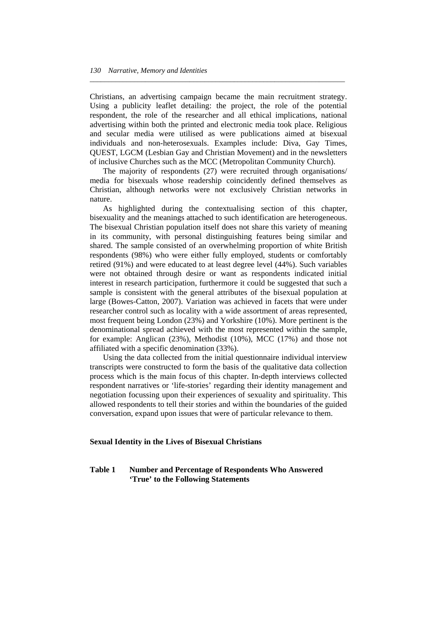Christians, an advertising campaign became the main recruitment strategy. Using a publicity leaflet detailing: the project, the role of the potential respondent, the role of the researcher and all ethical implications, national advertising within both the printed and electronic media took place. Religious and secular media were utilised as were publications aimed at bisexual individuals and non-heterosexuals. Examples include: Diva, Gay Times, QUEST, LGCM (Lesbian Gay and Christian Movement) and in the newsletters of inclusive Churches such as the MCC (Metropolitan Community Church).

*\_\_\_\_\_\_\_\_\_\_\_\_\_\_\_\_\_\_\_\_\_\_\_\_\_\_\_\_\_\_\_\_\_\_\_\_\_\_\_\_\_\_\_\_\_\_\_\_\_\_\_\_\_\_\_\_\_\_\_\_\_\_\_\_\_\_\_\_\_* 

 The majority of respondents (27) were recruited through organisations/ media for bisexuals whose readership coincidently defined themselves as Christian, although networks were not exclusively Christian networks in nature.

 As highlighted during the contextualising section of this chapter, bisexuality and the meanings attached to such identification are heterogeneous. The bisexual Christian population itself does not share this variety of meaning in its community, with personal distinguishing features being similar and shared. The sample consisted of an overwhelming proportion of white British respondents (98%) who were either fully employed, students or comfortably retired (91%) and were educated to at least degree level (44%). Such variables were not obtained through desire or want as respondents indicated initial interest in research participation, furthermore it could be suggested that such a sample is consistent with the general attributes of the bisexual population at large (Bowes-Catton, 2007). Variation was achieved in facets that were under researcher control such as locality with a wide assortment of areas represented, most frequent being London (23%) and Yorkshire (10%). More pertinent is the denominational spread achieved with the most represented within the sample, for example: Anglican (23%), Methodist (10%), MCC (17%) and those not affiliated with a specific denomination (33%).

 Using the data collected from the initial questionnaire individual interview transcripts were constructed to form the basis of the qualitative data collection process which is the main focus of this chapter. In-depth interviews collected respondent narratives or 'life-stories' regarding their identity management and negotiation focussing upon their experiences of sexuality and spirituality. This allowed respondents to tell their stories and within the boundaries of the guided conversation, expand upon issues that were of particular relevance to them.

#### **Sexual Identity in the Lives of Bisexual Christians**

## **Table 1 Number and Percentage of Respondents Who Answered 'True' to the Following Statements**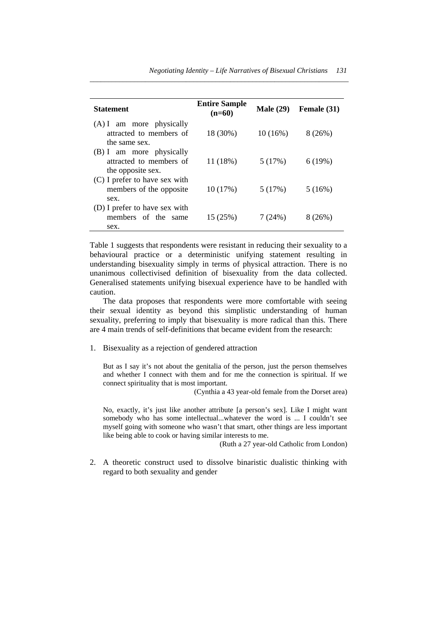| <b>Statement</b>                                                         | <b>Entire Sample</b><br>$(n=60)$ | <b>Male</b> (29) | Female (31) |
|--------------------------------------------------------------------------|----------------------------------|------------------|-------------|
| $(A)$ I am more physically<br>attracted to members of<br>the same sex.   | 18 (30%)                         | 10(16%)          | 8(26%)      |
| (B) I am more physically<br>attracted to members of<br>the opposite sex. | 11 (18%)                         | 5(17%)           | 6(19%)      |
| (C) I prefer to have sex with<br>members of the opposite.<br>sex.        | 10(17%)                          | 5(17%)           | 5(16%)      |
| (D) I prefer to have sex with<br>members of the same<br>sex.             | 15(25%)                          | 7(24%)           | 8 (26%)     |

*\_\_\_\_\_\_\_\_\_\_\_\_\_\_\_\_\_\_\_\_\_\_\_\_\_\_\_\_\_\_\_\_\_\_\_\_\_\_\_\_\_\_\_\_\_\_\_\_\_\_\_\_\_\_\_\_\_\_\_\_\_\_\_\_\_\_\_\_\_\_* 

Table 1 suggests that respondents were resistant in reducing their sexuality to a behavioural practice or a deterministic unifying statement resulting in understanding bisexuality simply in terms of physical attraction. There is no unanimous collectivised definition of bisexuality from the data collected. Generalised statements unifying bisexual experience have to be handled with caution.

 The data proposes that respondents were more comfortable with seeing their sexual identity as beyond this simplistic understanding of human sexuality, preferring to imply that bisexuality is more radical than this. There are 4 main trends of self-definitions that became evident from the research:

1. Bisexuality as a rejection of gendered attraction

But as I say it's not about the genitalia of the person, just the person themselves and whether I connect with them and for me the connection is spiritual. If we connect spirituality that is most important.

(Cynthia a 43 year-old female from the Dorset area)

No, exactly, it's just like another attribute [a person's sex]. Like I might want somebody who has some intellectual...whatever the word is ... I couldn't see myself going with someone who wasn't that smart, other things are less important like being able to cook or having similar interests to me.

(Ruth a 27 year-old Catholic from London)

2. A theoretic construct used to dissolve binaristic dualistic thinking with regard to both sexuality and gender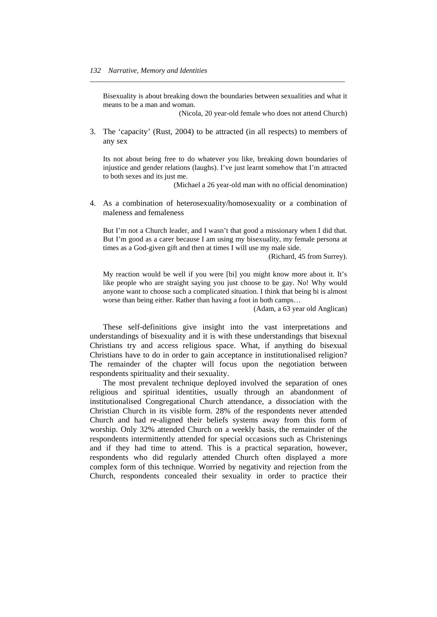Bisexuality is about breaking down the boundaries between sexualities and what it means to be a man and woman.

*\_\_\_\_\_\_\_\_\_\_\_\_\_\_\_\_\_\_\_\_\_\_\_\_\_\_\_\_\_\_\_\_\_\_\_\_\_\_\_\_\_\_\_\_\_\_\_\_\_\_\_\_\_\_\_\_\_\_\_\_\_\_\_\_\_\_\_\_\_* 

(Nicola, 20 year-old female who does not attend Church)

3. The 'capacity' (Rust, 2004) to be attracted (in all respects) to members of any sex

Its not about being free to do whatever you like, breaking down boundaries of injustice and gender relations (laughs). I've just learnt somehow that I'm attracted to both sexes and its just me.

(Michael a 26 year-old man with no official denomination)

4. As a combination of heterosexuality/homosexuality or a combination of maleness and femaleness

But I'm not a Church leader, and I wasn't that good a missionary when I did that. But I'm good as a carer because I am using my bisexuality, my female persona at times as a God-given gift and then at times I will use my male side.

(Richard, 45 from Surrey).

My reaction would be well if you were [bi] you might know more about it. It's like people who are straight saying you just choose to be gay. No! Why would anyone want to choose such a complicated situation. I think that being bi is almost worse than being either. Rather than having a foot in both camps…

(Adam, a 63 year old Anglican)

 These self-definitions give insight into the vast interpretations and understandings of bisexuality and it is with these understandings that bisexual Christians try and access religious space. What, if anything do bisexual Christians have to do in order to gain acceptance in institutionalised religion? The remainder of the chapter will focus upon the negotiation between respondents spirituality and their sexuality.

 The most prevalent technique deployed involved the separation of ones religious and spiritual identities, usually through an abandonment of institutionalised Congregational Church attendance, a dissociation with the Christian Church in its visible form. 28% of the respondents never attended Church and had re-aligned their beliefs systems away from this form of worship. Only 32% attended Church on a weekly basis, the remainder of the respondents intermittently attended for special occasions such as Christenings and if they had time to attend. This is a practical separation, however, respondents who did regularly attended Church often displayed a more complex form of this technique. Worried by negativity and rejection from the Church, respondents concealed their sexuality in order to practice their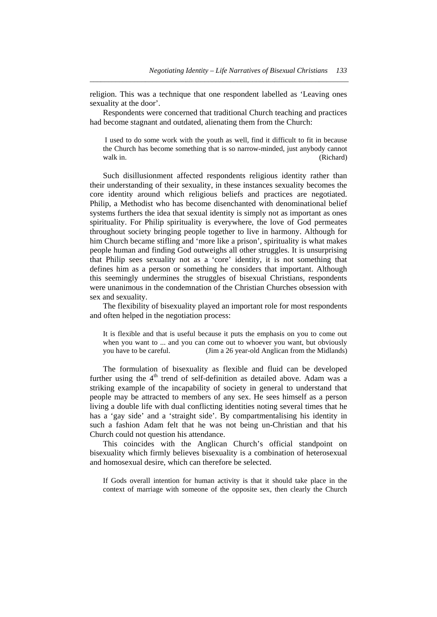religion. This was a technique that one respondent labelled as 'Leaving ones sexuality at the door'.

*\_\_\_\_\_\_\_\_\_\_\_\_\_\_\_\_\_\_\_\_\_\_\_\_\_\_\_\_\_\_\_\_\_\_\_\_\_\_\_\_\_\_\_\_\_\_\_\_\_\_\_\_\_\_\_\_\_\_\_\_\_\_\_\_\_\_\_\_\_\_* 

 Respondents were concerned that traditional Church teaching and practices had become stagnant and outdated, alienating them from the Church:

 I used to do some work with the youth as well, find it difficult to fit in because the Church has become something that is so narrow-minded, just anybody cannot walk in. (Richard) (Richard)

 Such disillusionment affected respondents religious identity rather than their understanding of their sexuality, in these instances sexuality becomes the core identity around which religious beliefs and practices are negotiated. Philip, a Methodist who has become disenchanted with denominational belief systems furthers the idea that sexual identity is simply not as important as ones spirituality. For Philip spirituality is everywhere, the love of God permeates throughout society bringing people together to live in harmony. Although for him Church became stifling and 'more like a prison', spirituality is what makes people human and finding God outweighs all other struggles. It is unsurprising that Philip sees sexuality not as a 'core' identity, it is not something that defines him as a person or something he considers that important. Although this seemingly undermines the struggles of bisexual Christians, respondents were unanimous in the condemnation of the Christian Churches obsession with sex and sexuality.

 The flexibility of bisexuality played an important role for most respondents and often helped in the negotiation process:

It is flexible and that is useful because it puts the emphasis on you to come out when you want to ... and you can come out to whoever you want, but obviously you have to be careful. (Jim a 26 year-old Anglican from the Midlands)

 The formulation of bisexuality as flexible and fluid can be developed further using the  $4<sup>th</sup>$  trend of self-definition as detailed above. Adam was a striking example of the incapability of society in general to understand that people may be attracted to members of any sex. He sees himself as a person living a double life with dual conflicting identities noting several times that he has a 'gay side' and a 'straight side'. By compartmentalising his identity in such a fashion Adam felt that he was not being un-Christian and that his Church could not question his attendance.

 This coincides with the Anglican Church's official standpoint on bisexuality which firmly believes bisexuality is a combination of heterosexual and homosexual desire, which can therefore be selected.

If Gods overall intention for human activity is that it should take place in the context of marriage with someone of the opposite sex, then clearly the Church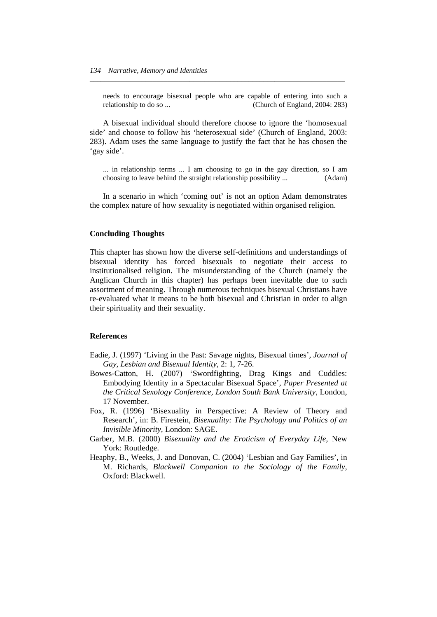needs to encourage bisexual people who are capable of entering into such a relationship to do so ... (Church of England, 2004: 283)

*\_\_\_\_\_\_\_\_\_\_\_\_\_\_\_\_\_\_\_\_\_\_\_\_\_\_\_\_\_\_\_\_\_\_\_\_\_\_\_\_\_\_\_\_\_\_\_\_\_\_\_\_\_\_\_\_\_\_\_\_\_\_\_\_\_\_\_\_\_* 

 A bisexual individual should therefore choose to ignore the 'homosexual side' and choose to follow his 'heterosexual side' (Church of England, 2003: 283). Adam uses the same language to justify the fact that he has chosen the 'gay side'.

... in relationship terms ... I am choosing to go in the gay direction, so I am choosing to leave behind the straight relationship possibility ... (Adam)

 In a scenario in which 'coming out' is not an option Adam demonstrates the complex nature of how sexuality is negotiated within organised religion.

#### **Concluding Thoughts**

This chapter has shown how the diverse self-definitions and understandings of bisexual identity has forced bisexuals to negotiate their access to institutionalised religion. The misunderstanding of the Church (namely the Anglican Church in this chapter) has perhaps been inevitable due to such assortment of meaning. Through numerous techniques bisexual Christians have re-evaluated what it means to be both bisexual and Christian in order to align their spirituality and their sexuality.

## **References**

- Eadie, J. (1997) 'Living in the Past: Savage nights, Bisexual times', *Journal of Gay, Lesbian and Bisexual Identity*, 2: 1, 7-26.
- Bowes-Catton, H. (2007) 'Swordfighting, Drag Kings and Cuddles: Embodying Identity in a Spectacular Bisexual Space', *Paper Presented at the Critical Sexology Conference, London South Bank University*, London, 17 November.
- Fox, R. (1996) 'Bisexuality in Perspective: A Review of Theory and Research', in: B. Firestein, *Bisexuality: The Psychology and Politics of an Invisible Minority,* London: SAGE.
- Garber, M.B. (2000) *Bisexuality and the Eroticism of Everyday Life,* New York: Routledge.
- Heaphy, B., Weeks, J. and Donovan, C. (2004) 'Lesbian and Gay Families', in M. Richards, *Blackwell Companion to the Sociology of the Family*, Oxford: Blackwell.